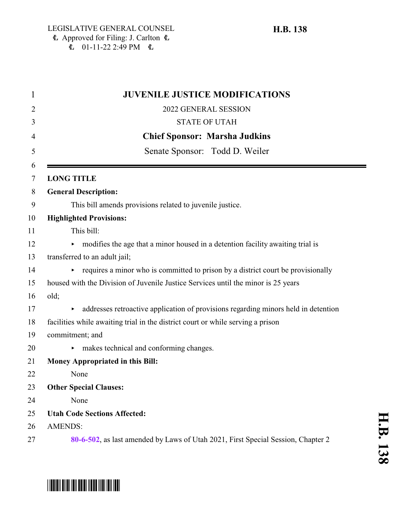| <b>JUVENILE JUSTICE MODIFICATIONS</b>                                                   |
|-----------------------------------------------------------------------------------------|
| 2022 GENERAL SESSION                                                                    |
| <b>STATE OF UTAH</b>                                                                    |
| <b>Chief Sponsor: Marsha Judkins</b>                                                    |
| Senate Sponsor: Todd D. Weiler                                                          |
| <b>LONG TITLE</b>                                                                       |
| <b>General Description:</b>                                                             |
| This bill amends provisions related to juvenile justice.                                |
| <b>Highlighted Provisions:</b>                                                          |
| This bill:                                                                              |
| modifies the age that a minor housed in a detention facility awaiting trial is          |
| transferred to an adult jail;                                                           |
| requires a minor who is committed to prison by a district court be provisionally<br>×   |
| housed with the Division of Juvenile Justice Services until the minor is 25 years       |
| old;                                                                                    |
| addresses retroactive application of provisions regarding minors held in detention<br>٠ |
| facilities while awaiting trial in the district court or while serving a prison         |
| commitment; and                                                                         |
| makes technical and conforming changes.<br>٠                                            |
| <b>Money Appropriated in this Bill:</b>                                                 |
| None                                                                                    |
| <b>Other Special Clauses:</b>                                                           |
| None                                                                                    |
| <b>Utah Code Sections Affected:</b>                                                     |
| <b>AMENDS:</b>                                                                          |
| 80-6-502, as last amended by Laws of Utah 2021, First Special Session, Chapter 2        |

# \*HB0138\*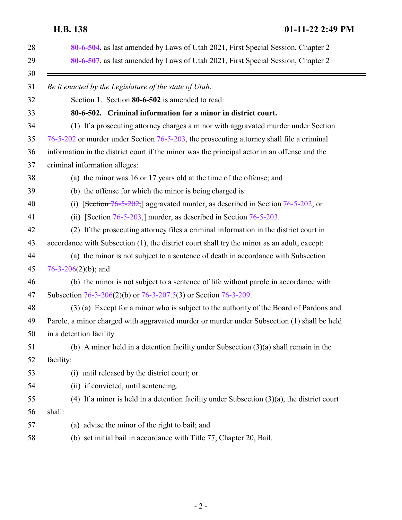# <span id="page-1-0"></span>**H.B. 138 01-11-22 2:49 PM**

|        | 80-6-504, as last amended by Laws of Utah 2021, First Special Session, Chapter 2<br>80-6-507, as last amended by Laws of Utah 2021, First Special Session, Chapter 2 |
|--------|----------------------------------------------------------------------------------------------------------------------------------------------------------------------|
|        | Be it enacted by the Legislature of the state of Utah:                                                                                                               |
|        | Section 1. Section 80-6-502 is amended to read:                                                                                                                      |
|        | 80-6-502. Criminal information for a minor in district court.                                                                                                        |
|        | (1) If a prosecuting attorney charges a minor with aggravated murder under Section                                                                                   |
|        | 76-5-202 or murder under Section 76-5-203, the prosecuting attorney shall file a criminal                                                                            |
|        | information in the district court if the minor was the principal actor in an offense and the                                                                         |
|        | criminal information alleges:                                                                                                                                        |
|        | (a) the minor was 16 or 17 years old at the time of the offense; and                                                                                                 |
|        | (b) the offense for which the minor is being charged is:                                                                                                             |
|        | [Section 76-5-202,] aggravated murder, as described in Section 76-5-202; or<br>(i)                                                                                   |
|        | (ii) [Section $76-5-203$ ] murder, as described in Section $76-5-203$ .                                                                                              |
|        | (2) If the prosecuting attorney files a criminal information in the district court in                                                                                |
|        | accordance with Subsection (1), the district court shall try the minor as an adult, except:                                                                          |
|        | (a) the minor is not subject to a sentence of death in accordance with Subsection                                                                                    |
|        | $76-3-206(2)(b)$ ; and                                                                                                                                               |
|        | (b) the minor is not subject to a sentence of life without parole in accordance with                                                                                 |
|        | Subsection 76-3-206(2)(b) or 76-3-207.5(3) or Section 76-3-209.                                                                                                      |
|        | (3) (a) Except for a minor who is subject to the authority of the Board of Pardons and                                                                               |
|        | Parole, a minor charged with aggravated murder or murder under Subsection (1) shall be held                                                                          |
|        | in a detention facility.                                                                                                                                             |
|        | (b) A minor held in a detention facility under Subsection $(3)(a)$ shall remain in the                                                                               |
|        | facility:                                                                                                                                                            |
|        | (i) until released by the district court; or                                                                                                                         |
|        | (ii) if convicted, until sentencing.                                                                                                                                 |
|        | (4) If a minor is held in a detention facility under Subsection $(3)(a)$ , the district court                                                                        |
| shall: |                                                                                                                                                                      |
|        | (a) advise the minor of the right to bail; and                                                                                                                       |
|        | (b) set initial bail in accordance with Title 77, Chapter 20, Bail.                                                                                                  |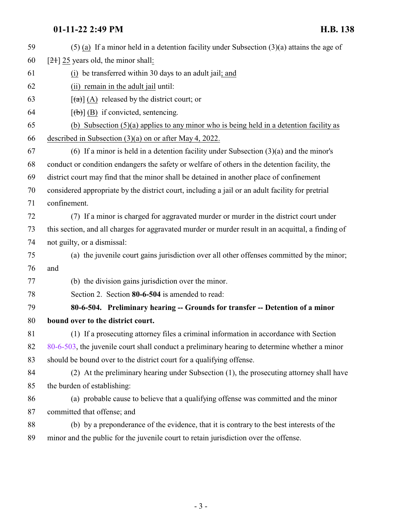# **01-11-22 2:49 PM H.B. 138**

<span id="page-2-0"></span>

| 59 | $(5)$ (a) If a minor held in a detention facility under Subsection $(3)(a)$ attains the age of     |
|----|----------------------------------------------------------------------------------------------------|
| 60 | $[2+]$ 25 years old, the minor shall:                                                              |
| 61 | (i) be transferred within 30 days to an adult jail; and                                            |
| 62 | (ii) remain in the adult jail until:                                                               |
| 63 | $\left[\frac{a}{a}\right]$ (A) released by the district court; or                                  |
| 64 | $[\phi]$ (B) if convicted, sentencing.                                                             |
| 65 | (b) Subsection $(5)(a)$ applies to any minor who is being held in a detention facility as          |
| 66 | described in Subsection $(3)(a)$ on or after May 4, 2022.                                          |
| 67 | (6) If a minor is held in a detention facility under Subsection $(3)(a)$ and the minor's           |
| 68 | conduct or condition endangers the safety or welfare of others in the detention facility, the      |
| 69 | district court may find that the minor shall be detained in another place of confinement           |
| 70 | considered appropriate by the district court, including a jail or an adult facility for pretrial   |
| 71 | confinement.                                                                                       |
| 72 | (7) If a minor is charged for aggravated murder or murder in the district court under              |
| 73 | this section, and all charges for aggravated murder or murder result in an acquittal, a finding of |
| 74 | not guilty, or a dismissal:                                                                        |
| 75 | (a) the juvenile court gains jurisdiction over all other offenses committed by the minor;          |
| 76 | and                                                                                                |
| 77 | (b) the division gains jurisdiction over the minor.                                                |
| 78 | Section 2. Section 80-6-504 is amended to read:                                                    |
| 79 | 80-6-504. Preliminary hearing -- Grounds for transfer -- Detention of a minor                      |
| 80 | bound over to the district court.                                                                  |
| 81 | (1) If a prosecuting attorney files a criminal information in accordance with Section              |
| 82 | 80-6-503, the juvenile court shall conduct a preliminary hearing to determine whether a minor      |
| 83 | should be bound over to the district court for a qualifying offense.                               |
| 84 | (2) At the preliminary hearing under Subsection (1), the prosecuting attorney shall have           |
| 85 | the burden of establishing:                                                                        |
| 86 | (a) probable cause to believe that a qualifying offense was committed and the minor                |
| 87 | committed that offense; and                                                                        |
| 88 | (b) by a preponderance of the evidence, that it is contrary to the best interests of the           |
| 89 | minor and the public for the juvenile court to retain jurisdiction over the offense.               |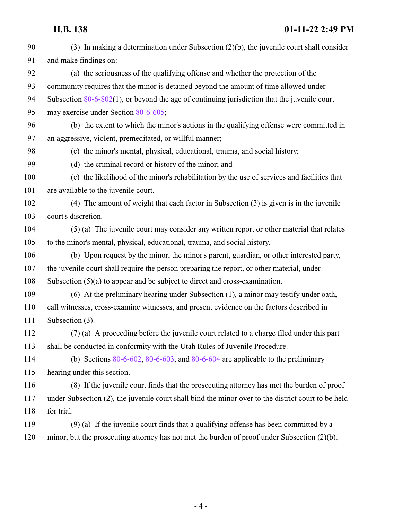## **H.B. 138 01-11-22 2:49 PM**

 (3) In making a determination under Subsection (2)(b), the juvenile court shall consider and make findings on: (a) the seriousness of the qualifying offense and whether the protection of the community requires that the minor is detained beyond the amount of time allowed under Subsection [80-6-802](http://le.utah.gov/UtahCode/SectionLookup.jsp?section=80-6-802&session=2022GS)(1), or beyond the age of continuing jurisdiction that the juvenile court may exercise under Section [80-6-605](http://le.utah.gov/UtahCode/SectionLookup.jsp?section=80-6-605&session=2022GS); (b) the extent to which the minor's actions in the qualifying offense were committed in an aggressive, violent, premeditated, or willful manner; (c) the minor's mental, physical, educational, trauma, and social history; (d) the criminal record or history of the minor; and (e) the likelihood of the minor's rehabilitation by the use of services and facilities that 101 are available to the juvenile court. (4) The amount of weight that each factor in Subsection (3) is given is in the juvenile court's discretion. (5) (a) The juvenile court may consider any written report or other material that relates to the minor's mental, physical, educational, trauma, and social history. (b) Upon request by the minor, the minor's parent, guardian, or other interested party, the juvenile court shall require the person preparing the report, or other material, under Subsection (5)(a) to appear and be subject to direct and cross-examination. (6) At the preliminary hearing under Subsection (1), a minor may testify under oath, call witnesses, cross-examine witnesses, and present evidence on the factors described in Subsection (3). (7) (a) A proceeding before the juvenile court related to a charge filed under this part shall be conducted in conformity with the Utah Rules of Juvenile Procedure. (b) Sections [80-6-602](http://le.utah.gov/UtahCode/SectionLookup.jsp?section=80-6-602&session=2022GS), [80-6-603](http://le.utah.gov/UtahCode/SectionLookup.jsp?section=80-6-603&session=2022GS), and [80-6-604](http://le.utah.gov/UtahCode/SectionLookup.jsp?section=80-6-604&session=2022GS) are applicable to the preliminary hearing under this section. (8) If the juvenile court finds that the prosecuting attorney has met the burden of proof under Subsection (2), the juvenile court shall bind the minor over to the district court to be held for trial. (9) (a) If the juvenile court finds that a qualifying offense has been committed by a minor, but the prosecuting attorney has not met the burden of proof under Subsection (2)(b),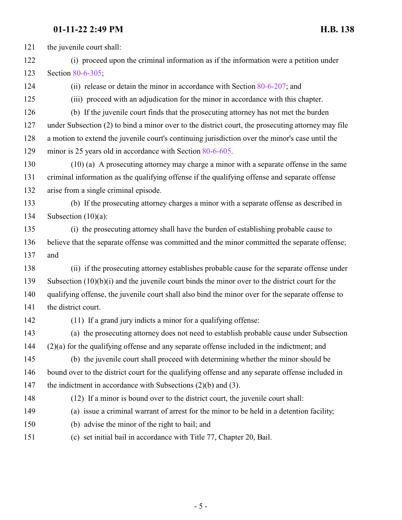### **01-11-22 2:49 PM H.B. 138**

 the juvenile court shall: (i) proceed upon the criminal information as if the information were a petition under Section [80-6-305](http://le.utah.gov/UtahCode/SectionLookup.jsp?section=80-6-305&session=2022GS); (ii) release or detain the minor in accordance with Section [80-6-207](http://le.utah.gov/UtahCode/SectionLookup.jsp?section=80-6-207&session=2022GS); and (iii) proceed with an adjudication for the minor in accordance with this chapter. (b) If the juvenile court finds that the prosecuting attorney has not met the burden under Subsection (2) to bind a minor over to the district court, the prosecuting attorney may file a motion to extend the juvenile court's continuing jurisdiction over the minor's case until the minor is 25 years old in accordance with Section [80-6-605](http://le.utah.gov/UtahCode/SectionLookup.jsp?section=80-6-605&session=2022GS). (10) (a) A prosecuting attorney may charge a minor with a separate offense in the same criminal information as the qualifying offense if the qualifying offense and separate offense arise from a single criminal episode. (b) If the prosecuting attorney charges a minor with a separate offense as described in Subsection (10)(a): (i) the prosecuting attorney shall have the burden of establishing probable cause to believe that the separate offense was committed and the minor committed the separate offense; and (ii) if the prosecuting attorney establishes probable cause for the separate offense under Subsection (10)(b)(i) and the juvenile court binds the minor over to the district court for the qualifying offense, the juvenile court shall also bind the minor over for the separate offense to 141 the district court. (11) If a grand jury indicts a minor for a qualifying offense: (a) the prosecuting attorney does not need to establish probable cause under Subsection (2)(a) for the qualifying offense and any separate offense included in the indictment; and (b) the juvenile court shall proceed with determining whether the minor should be bound over to the district court for the qualifying offense and any separate offense included in 147 the indictment in accordance with Subsections (2)(b) and (3). (12) If a minor is bound over to the district court, the juvenile court shall: (a) issue a criminal warrant of arrest for the minor to be held in a detention facility; (b) advise the minor of the right to bail; and (c) set initial bail in accordance with Title 77, Chapter 20, Bail.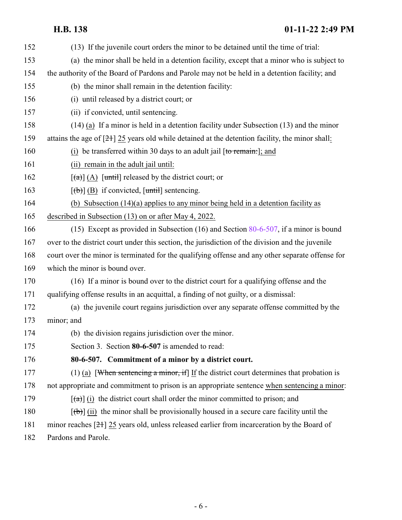### **H.B. 138 01-11-22 2:49 PM**

<span id="page-5-0"></span> (13) If the juvenile court orders the minor to be detained until the time of trial: (a) the minor shall be held in a detention facility, except that a minor who is subject to the authority of the Board of Pardons and Parole may not be held in a detention facility; and (b) the minor shall remain in the detention facility: (i) until released by a district court; or (ii) if convicted, until sentencing. (14) (a) If a minor is held in a detention facility under Subsection (13) and the minor attains the age of [21] 25 years old while detained at the detention facility, the minor shall: 160 (i) be transferred within 30 days to an adult jail [to remain:]; and (ii) remain in the adult jail until:  $[(a)] (A)$  [until] released by the district court; or  $[(\theta)]$  (B) if convicted,  $[\text{until}]$  sentencing. (b) Subsection (14)(a) applies to any minor being held in a detention facility as described in Subsection (13) on or after May 4, 2022. (15) Except as provided in Subsection (16) and Section [80-6-507](#page-5-0), if a minor is bound over to the district court under this section, the jurisdiction of the division and the juvenile court over the minor is terminated for the qualifying offense and any other separate offense for which the minor is bound over. (16) If a minor is bound over to the district court for a qualifying offense and the qualifying offense results in an acquittal, a finding of not guilty, or a dismissal: (a) the juvenile court regains jurisdiction over any separate offense committed by the minor; and (b) the division regains jurisdiction over the minor. Section 3. Section **80-6-507** is amended to read: **80-6-507. Commitment of a minor by a district court.** (1) (a) [When sentencing a minor, if] If the district court determines that probation is not appropriate and commitment to prison is an appropriate sentence when sentencing a minor:  $[(a)]$  (i) the district court shall order the minor committed to prison; and  $[(\theta)]$  (ii) the minor shall be provisionally housed in a secure care facility until the minor reaches [21] 25 years old, unless released earlier from incarceration by the Board of Pardons and Parole.